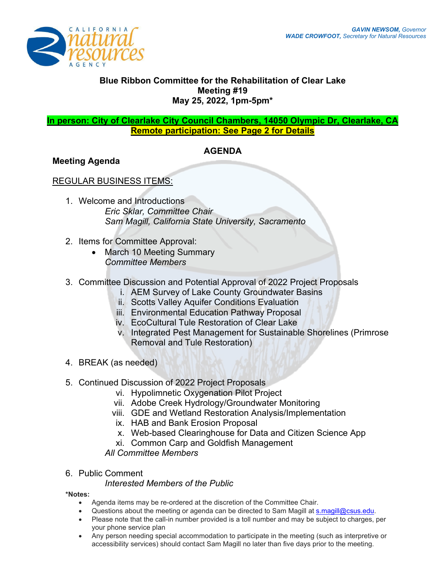

## **Blue Ribbon Committee for the Rehabilitation of Clear Lake Meeting #19 May 25, 2022, 1pm-5pm\***

#### **In person: City of Clearlake City Council Chambers, 14050 Olympic Dr, Clearlake, CA Remote participation: See Page 2 for Details**

## **AGENDA**

#### **Meeting Agenda**

## REGULAR BUSINESS ITEMS:

- 1. Welcome and Introductions *Eric Sklar, Committee Chair Sam Magill, California State University, Sacramento*
- 2. Items for Committee Approval:
	- March 10 Meeting Summary *Committee Members*
- 3. Committee Discussion and Potential Approval of 2022 Project Proposals
	- i. AEM Survey of Lake County Groundwater Basins
	- ii. Scotts Valley Aquifer Conditions Evaluation
	- iii. Environmental Education Pathway Proposal
	- iv. EcoCultural Tule Restoration of Clear Lake
	- v. Integrated Pest Management for Sustainable Shorelines (Primrose Removal and Tule Restoration)
- 4. BREAK (as needed)
- 5. Continued Discussion of 2022 Project Proposals
	- vi. Hypolimnetic Oxygenation Pilot Project
	- vii. Adobe Creek Hydrology/Groundwater Monitoring
	- viii. GDE and Wetland Restoration Analysis/Implementation
	- ix. HAB and Bank Erosion Proposal
	- x. Web-based Clearinghouse for Data and Citizen Science App
	- xi. Common Carp and Goldfish Management

*All Committee Members* 

#### 6. Public Comment

#### *Interested Members of the Public*

## **\*Notes:**

- Agenda items may be re-ordered at the discretion of the Committee Chair.
- Questions about the meeting or agenda can be directed to Sam Magill at **s.magill@csus.edu.**
- Please note that the call-in number provided is a toll number and may be subject to charges, per your phone service plan
- Any person needing special accommodation to participate in the meeting (such as interpretive or accessibility services) should contact Sam Magill no later than five days prior to the meeting.